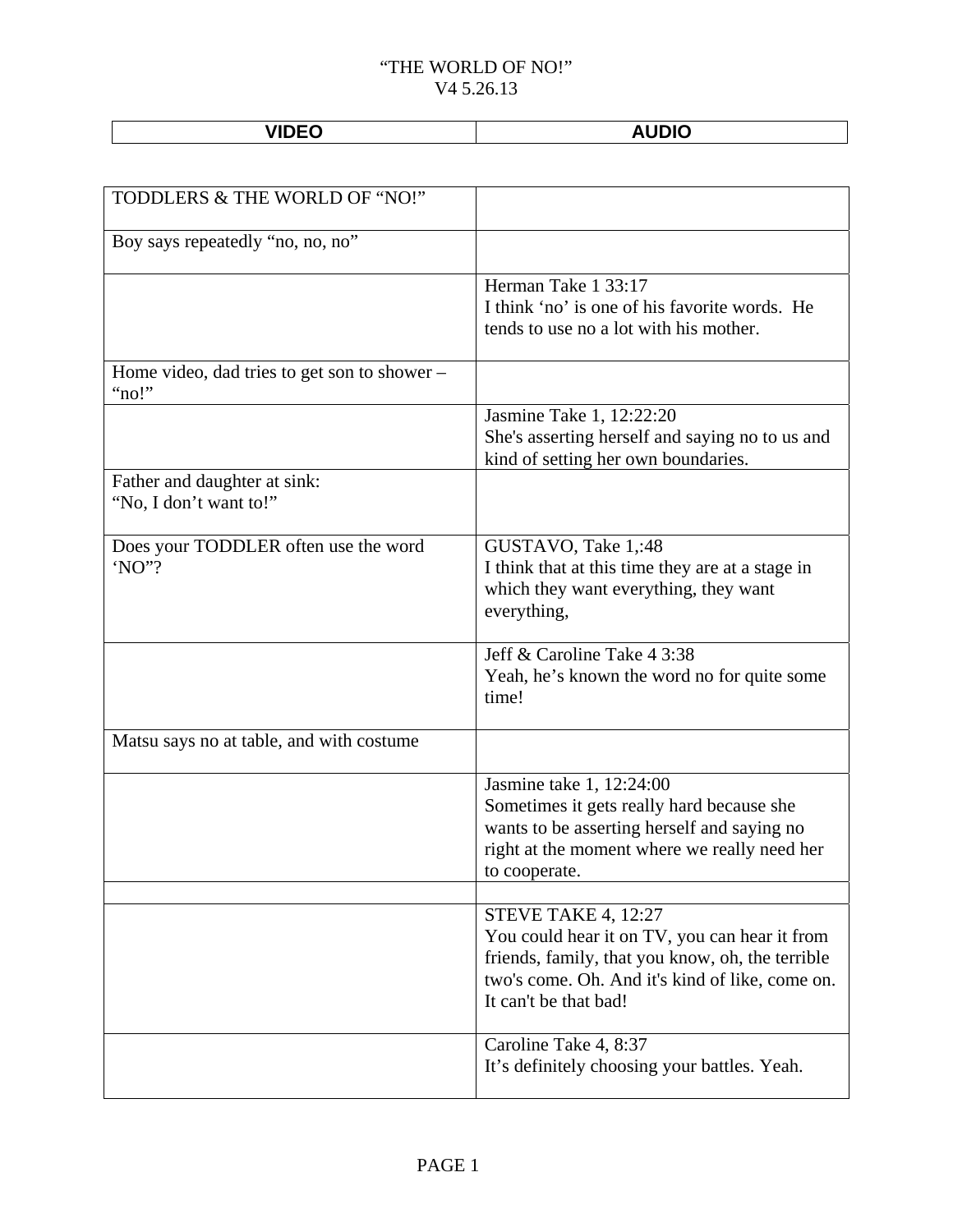**VIDEO AUDIO** 

| TODDLERS & THE WORLD OF "NO!"                          |                                                                                                                                                                                                      |
|--------------------------------------------------------|------------------------------------------------------------------------------------------------------------------------------------------------------------------------------------------------------|
| Boy says repeatedly "no, no, no"                       |                                                                                                                                                                                                      |
|                                                        | Herman Take 1 33:17<br>I think 'no' is one of his favorite words. He<br>tends to use no a lot with his mother.                                                                                       |
| Home video, dad tries to get son to shower –<br>"no!"  |                                                                                                                                                                                                      |
|                                                        | Jasmine Take 1, 12:22:20<br>She's asserting herself and saying no to us and<br>kind of setting her own boundaries.                                                                                   |
| Father and daughter at sink:<br>"No, I don't want to!" |                                                                                                                                                                                                      |
| Does your TODDLER often use the word<br>'NO"?          | GUSTAVO, Take 1,:48<br>I think that at this time they are at a stage in<br>which they want everything, they want<br>everything,                                                                      |
|                                                        | Jeff & Caroline Take 4 3:38<br>Yeah, he's known the word no for quite some<br>time!                                                                                                                  |
| Matsu says no at table, and with costume               |                                                                                                                                                                                                      |
|                                                        | Jasmine take 1, 12:24:00<br>Sometimes it gets really hard because she<br>wants to be asserting herself and saying no<br>right at the moment where we really need her<br>to cooperate.                |
|                                                        | STEVE TAKE 4, 12:27<br>You could hear it on TV, you can hear it from<br>friends, family, that you know, oh, the terrible<br>two's come. Oh. And it's kind of like, come on.<br>It can't be that bad! |
|                                                        | Caroline Take 4, 8:37<br>It's definitely choosing your battles. Yeah.                                                                                                                                |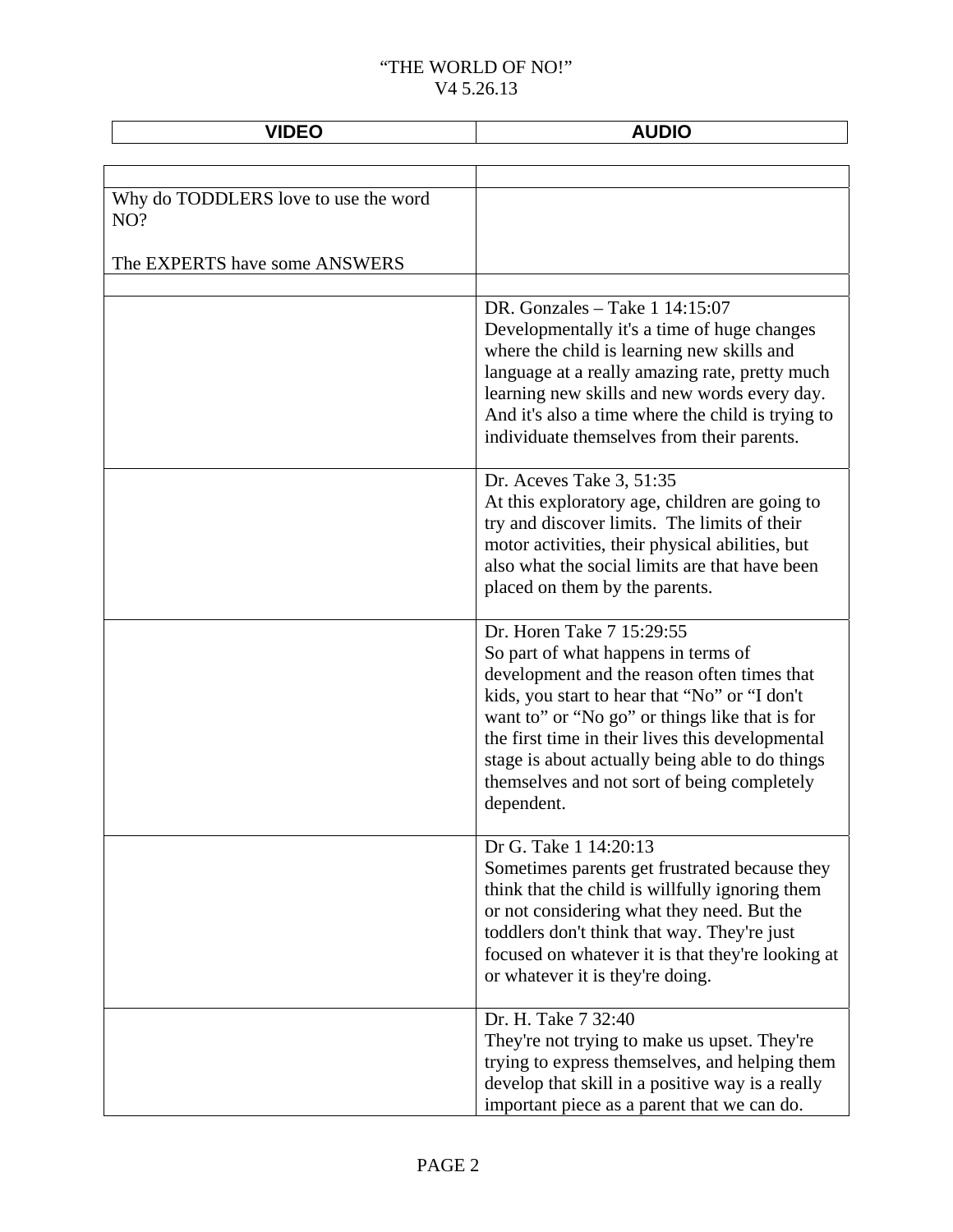| <b>VIDEO</b>                                | <b>AUDIO</b>                                                                                                                                                                                                                                                                                                                                                                           |
|---------------------------------------------|----------------------------------------------------------------------------------------------------------------------------------------------------------------------------------------------------------------------------------------------------------------------------------------------------------------------------------------------------------------------------------------|
|                                             |                                                                                                                                                                                                                                                                                                                                                                                        |
| Why do TODDLERS love to use the word<br>NO? |                                                                                                                                                                                                                                                                                                                                                                                        |
| The EXPERTS have some ANSWERS               |                                                                                                                                                                                                                                                                                                                                                                                        |
|                                             | DR. Gonzales - Take $1\,14:15:07$<br>Developmentally it's a time of huge changes<br>where the child is learning new skills and<br>language at a really amazing rate, pretty much<br>learning new skills and new words every day.<br>And it's also a time where the child is trying to<br>individuate themselves from their parents.                                                    |
|                                             | Dr. Aceves Take 3, 51:35<br>At this exploratory age, children are going to<br>try and discover limits. The limits of their<br>motor activities, their physical abilities, but<br>also what the social limits are that have been<br>placed on them by the parents.                                                                                                                      |
|                                             | Dr. Horen Take 7 15:29:55<br>So part of what happens in terms of<br>development and the reason often times that<br>kids, you start to hear that "No" or "I don't<br>want to" or "No go" or things like that is for<br>the first time in their lives this developmental<br>stage is about actually being able to do things<br>themselves and not sort of being completely<br>dependent. |
|                                             | Dr G. Take 1 14:20:13<br>Sometimes parents get frustrated because they<br>think that the child is willfully ignoring them<br>or not considering what they need. But the<br>toddlers don't think that way. They're just<br>focused on whatever it is that they're looking at<br>or whatever it is they're doing.                                                                        |
|                                             | Dr. H. Take 7 32:40<br>They're not trying to make us upset. They're<br>trying to express themselves, and helping them<br>develop that skill in a positive way is a really<br>important piece as a parent that we can do.                                                                                                                                                               |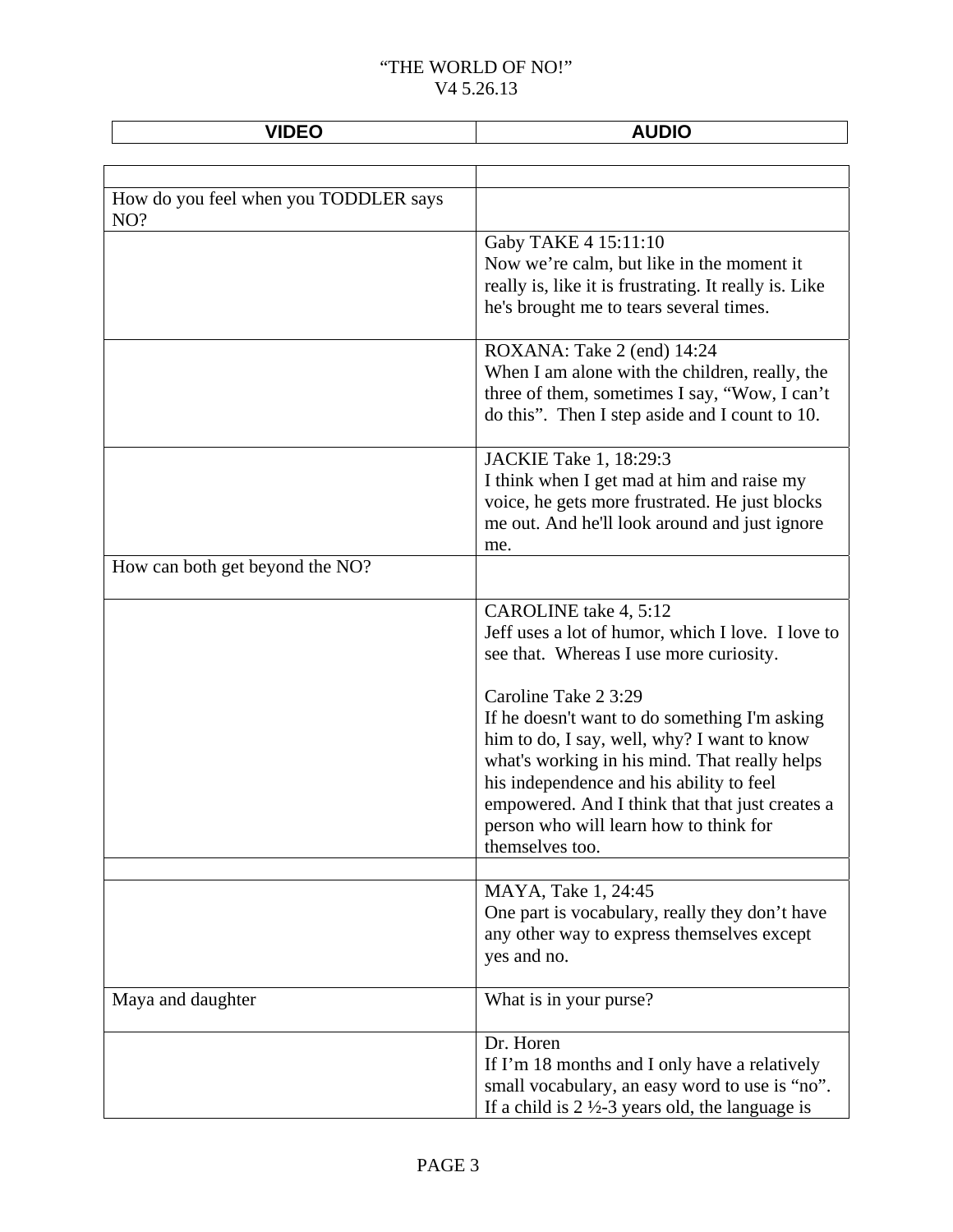| <b>VIDEO</b>                                 | <b>AUDIO</b>                                                                                                                                                                                                                                                                                                                      |
|----------------------------------------------|-----------------------------------------------------------------------------------------------------------------------------------------------------------------------------------------------------------------------------------------------------------------------------------------------------------------------------------|
|                                              |                                                                                                                                                                                                                                                                                                                                   |
| How do you feel when you TODDLER says<br>NO? |                                                                                                                                                                                                                                                                                                                                   |
|                                              | Gaby TAKE 4 15:11:10<br>Now we're calm, but like in the moment it<br>really is, like it is frustrating. It really is. Like<br>he's brought me to tears several times.                                                                                                                                                             |
|                                              | ROXANA: Take 2 (end) 14:24<br>When I am alone with the children, really, the<br>three of them, sometimes I say, "Wow, I can't<br>do this". Then I step aside and I count to 10.                                                                                                                                                   |
|                                              | JACKIE Take 1, 18:29:3<br>I think when I get mad at him and raise my<br>voice, he gets more frustrated. He just blocks<br>me out. And he'll look around and just ignore<br>me.                                                                                                                                                    |
| How can both get beyond the NO?              |                                                                                                                                                                                                                                                                                                                                   |
|                                              | CAROLINE take 4, 5:12<br>Jeff uses a lot of humor, which I love. I love to<br>see that. Whereas I use more curiosity.                                                                                                                                                                                                             |
|                                              | Caroline Take 2 3:29<br>If he doesn't want to do something I'm asking<br>him to do, I say, well, why? I want to know<br>what's working in his mind. That really helps<br>his independence and his ability to feel<br>empowered. And I think that that just creates a<br>person who will learn how to think for<br>themselves too. |
|                                              | MAYA, Take 1, 24:45<br>One part is vocabulary, really they don't have<br>any other way to express themselves except<br>yes and no.                                                                                                                                                                                                |
| Maya and daughter                            | What is in your purse?                                                                                                                                                                                                                                                                                                            |
|                                              | Dr. Horen<br>If I'm 18 months and I only have a relatively<br>small vocabulary, an easy word to use is "no".<br>If a child is $2\frac{1}{2}$ -3 years old, the language is                                                                                                                                                        |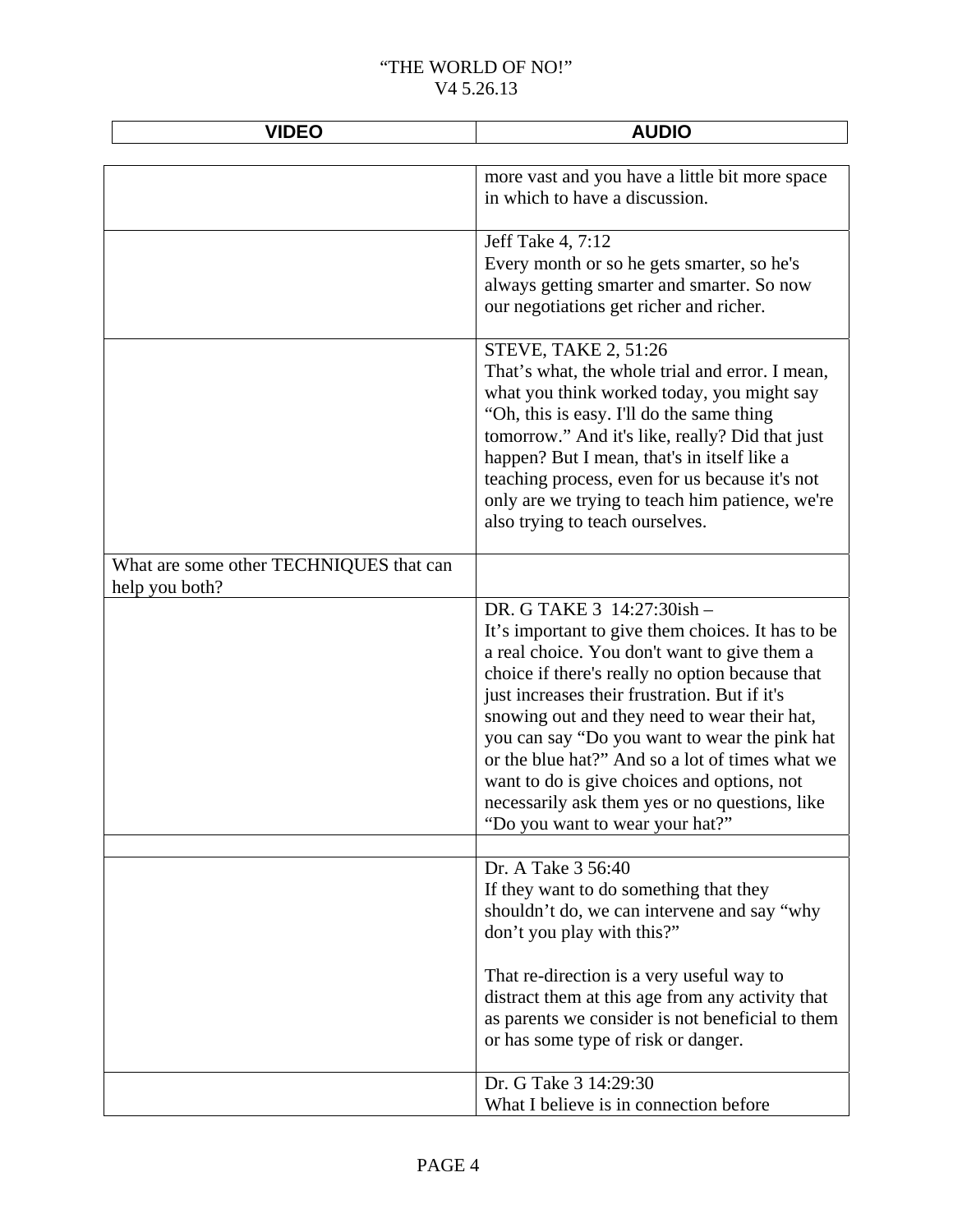| <b>VIDEO</b>                                              | <b>AUDIO</b>                                                                                                                                                                                                                                                                                                                                                                                                                                                                                                                |
|-----------------------------------------------------------|-----------------------------------------------------------------------------------------------------------------------------------------------------------------------------------------------------------------------------------------------------------------------------------------------------------------------------------------------------------------------------------------------------------------------------------------------------------------------------------------------------------------------------|
|                                                           | more vast and you have a little bit more space<br>in which to have a discussion.                                                                                                                                                                                                                                                                                                                                                                                                                                            |
|                                                           | Jeff Take 4, 7:12<br>Every month or so he gets smarter, so he's<br>always getting smarter and smarter. So now<br>our negotiations get richer and richer.                                                                                                                                                                                                                                                                                                                                                                    |
|                                                           | <b>STEVE, TAKE 2, 51:26</b><br>That's what, the whole trial and error. I mean,<br>what you think worked today, you might say<br>"Oh, this is easy. I'll do the same thing<br>tomorrow." And it's like, really? Did that just<br>happen? But I mean, that's in itself like a<br>teaching process, even for us because it's not<br>only are we trying to teach him patience, we're<br>also trying to teach ourselves.                                                                                                         |
| What are some other TECHNIQUES that can<br>help you both? |                                                                                                                                                                                                                                                                                                                                                                                                                                                                                                                             |
|                                                           | DR. G TAKE 3 14:27:30ish -<br>It's important to give them choices. It has to be<br>a real choice. You don't want to give them a<br>choice if there's really no option because that<br>just increases their frustration. But if it's<br>snowing out and they need to wear their hat,<br>you can say "Do you want to wear the pink hat<br>or the blue hat?" And so a lot of times what we<br>want to do is give choices and options, not<br>necessarily ask them yes or no questions, like<br>"Do you want to wear your hat?" |
|                                                           | Dr. A Take 3 56:40<br>If they want to do something that they<br>shouldn't do, we can intervene and say "why<br>don't you play with this?"                                                                                                                                                                                                                                                                                                                                                                                   |
|                                                           | That re-direction is a very useful way to<br>distract them at this age from any activity that<br>as parents we consider is not beneficial to them<br>or has some type of risk or danger.                                                                                                                                                                                                                                                                                                                                    |
|                                                           | Dr. G Take 3 14:29:30<br>What I believe is in connection before                                                                                                                                                                                                                                                                                                                                                                                                                                                             |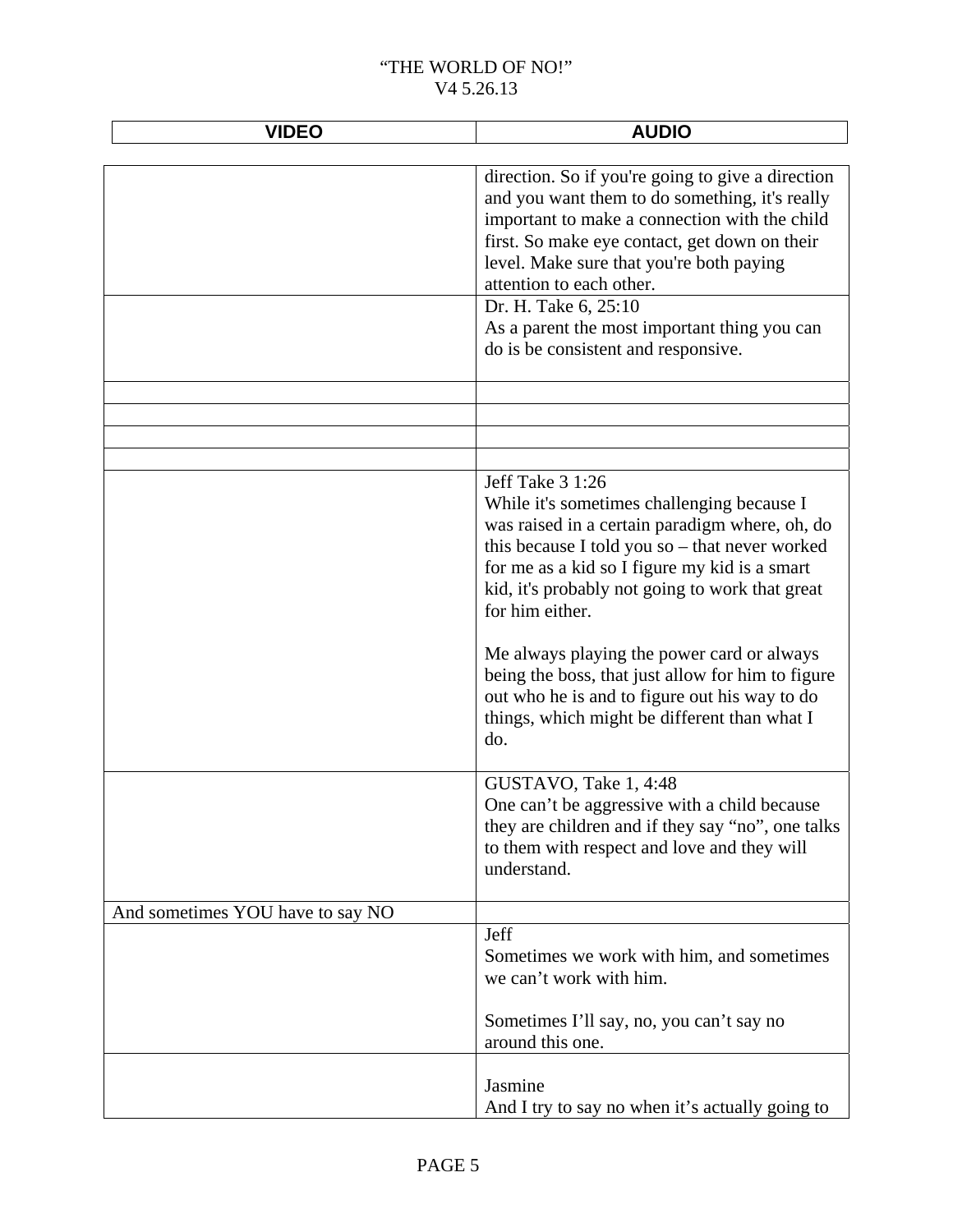| <b>VIDEO</b>                     | <b>AUDIO</b>                                                                                                                                                                                                                                                                              |
|----------------------------------|-------------------------------------------------------------------------------------------------------------------------------------------------------------------------------------------------------------------------------------------------------------------------------------------|
|                                  |                                                                                                                                                                                                                                                                                           |
|                                  | direction. So if you're going to give a direction<br>and you want them to do something, it's really<br>important to make a connection with the child<br>first. So make eye contact, get down on their<br>level. Make sure that you're both paying<br>attention to each other.             |
|                                  | Dr. H. Take 6, 25:10                                                                                                                                                                                                                                                                      |
|                                  | As a parent the most important thing you can<br>do is be consistent and responsive.                                                                                                                                                                                                       |
|                                  |                                                                                                                                                                                                                                                                                           |
|                                  |                                                                                                                                                                                                                                                                                           |
|                                  |                                                                                                                                                                                                                                                                                           |
|                                  |                                                                                                                                                                                                                                                                                           |
|                                  | Jeff Take 3 1:26<br>While it's sometimes challenging because I<br>was raised in a certain paradigm where, oh, do<br>this because I told you so - that never worked<br>for me as a kid so I figure my kid is a smart<br>kid, it's probably not going to work that great<br>for him either. |
|                                  | Me always playing the power card or always<br>being the boss, that just allow for him to figure<br>out who he is and to figure out his way to do<br>things, which might be different than what I<br>do.                                                                                   |
|                                  | GUSTAVO, Take 1, 4:48<br>One can't be aggressive with a child because<br>they are children and if they say "no", one talks<br>to them with respect and love and they will<br>understand.                                                                                                  |
| And sometimes YOU have to say NO |                                                                                                                                                                                                                                                                                           |
|                                  | Jeff<br>Sometimes we work with him, and sometimes<br>we can't work with him.                                                                                                                                                                                                              |
|                                  | Sometimes I'll say, no, you can't say no<br>around this one.                                                                                                                                                                                                                              |
|                                  | Jasmine<br>And I try to say no when it's actually going to                                                                                                                                                                                                                                |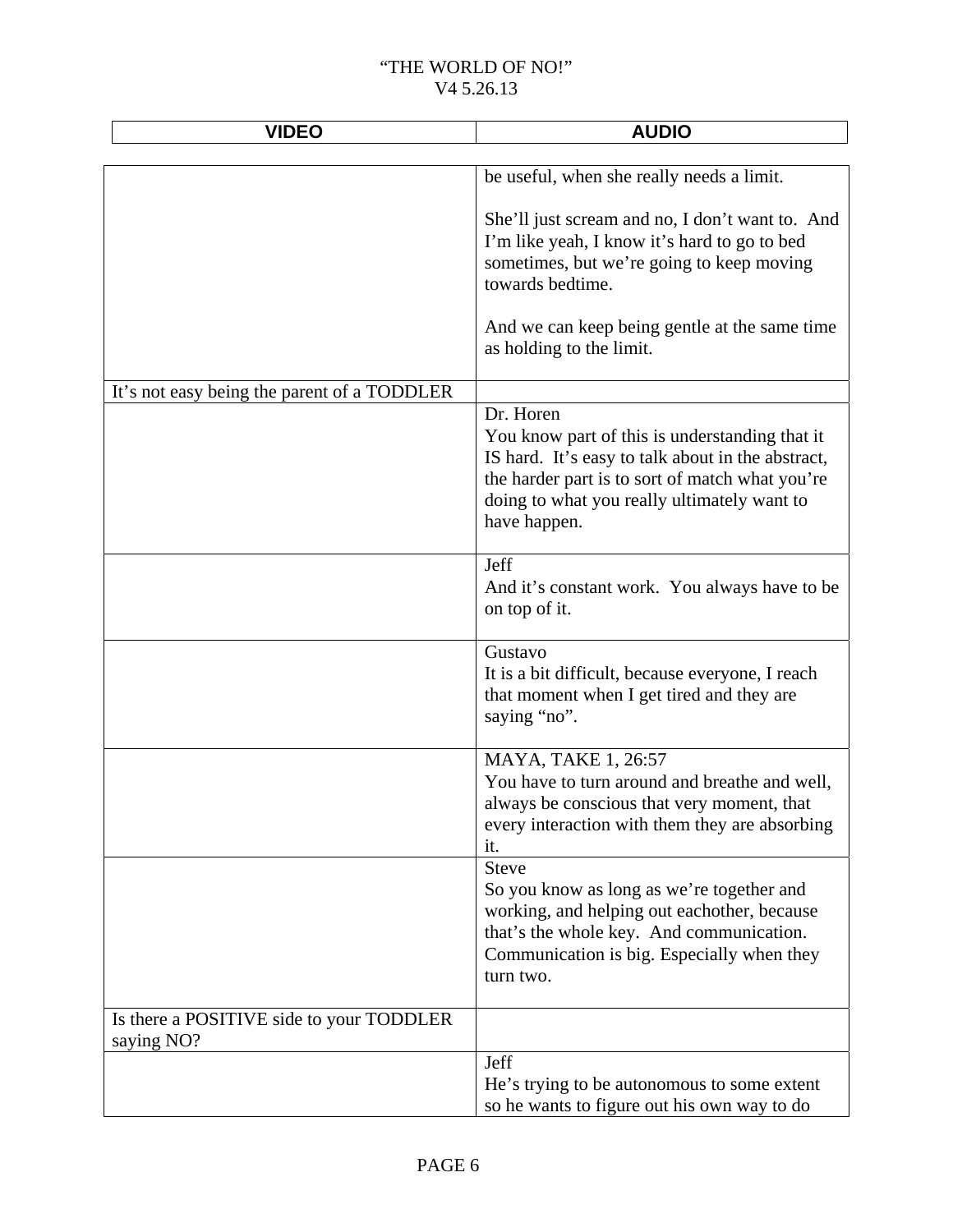| <b>VIDEO</b>                                | <b>AUDIO</b>                                                                                                                                                                                                                       |
|---------------------------------------------|------------------------------------------------------------------------------------------------------------------------------------------------------------------------------------------------------------------------------------|
|                                             | be useful, when she really needs a limit.                                                                                                                                                                                          |
|                                             | She'll just scream and no, I don't want to. And<br>I'm like yeah, I know it's hard to go to bed<br>sometimes, but we're going to keep moving<br>towards bedtime.                                                                   |
|                                             | And we can keep being gentle at the same time<br>as holding to the limit.                                                                                                                                                          |
| It's not easy being the parent of a TODDLER |                                                                                                                                                                                                                                    |
|                                             | Dr. Horen<br>You know part of this is understanding that it<br>IS hard. It's easy to talk about in the abstract,<br>the harder part is to sort of match what you're<br>doing to what you really ultimately want to<br>have happen. |
|                                             | Jeff<br>And it's constant work. You always have to be<br>on top of it.                                                                                                                                                             |
|                                             | Gustavo<br>It is a bit difficult, because everyone, I reach<br>that moment when I get tired and they are<br>saying "no".                                                                                                           |
|                                             | MAYA, TAKE 1, 26:57<br>You have to turn around and breathe and well,<br>always be conscious that very moment, that<br>every interaction with them they are absorbing<br>it.                                                        |
|                                             | <b>Steve</b><br>So you know as long as we're together and<br>working, and helping out eachother, because<br>that's the whole key. And communication.<br>Communication is big. Especially when they<br>turn two.                    |
| Is there a POSITIVE side to your TODDLER    |                                                                                                                                                                                                                                    |
| saying NO?                                  | Jeff                                                                                                                                                                                                                               |
|                                             | He's trying to be autonomous to some extent<br>so he wants to figure out his own way to do                                                                                                                                         |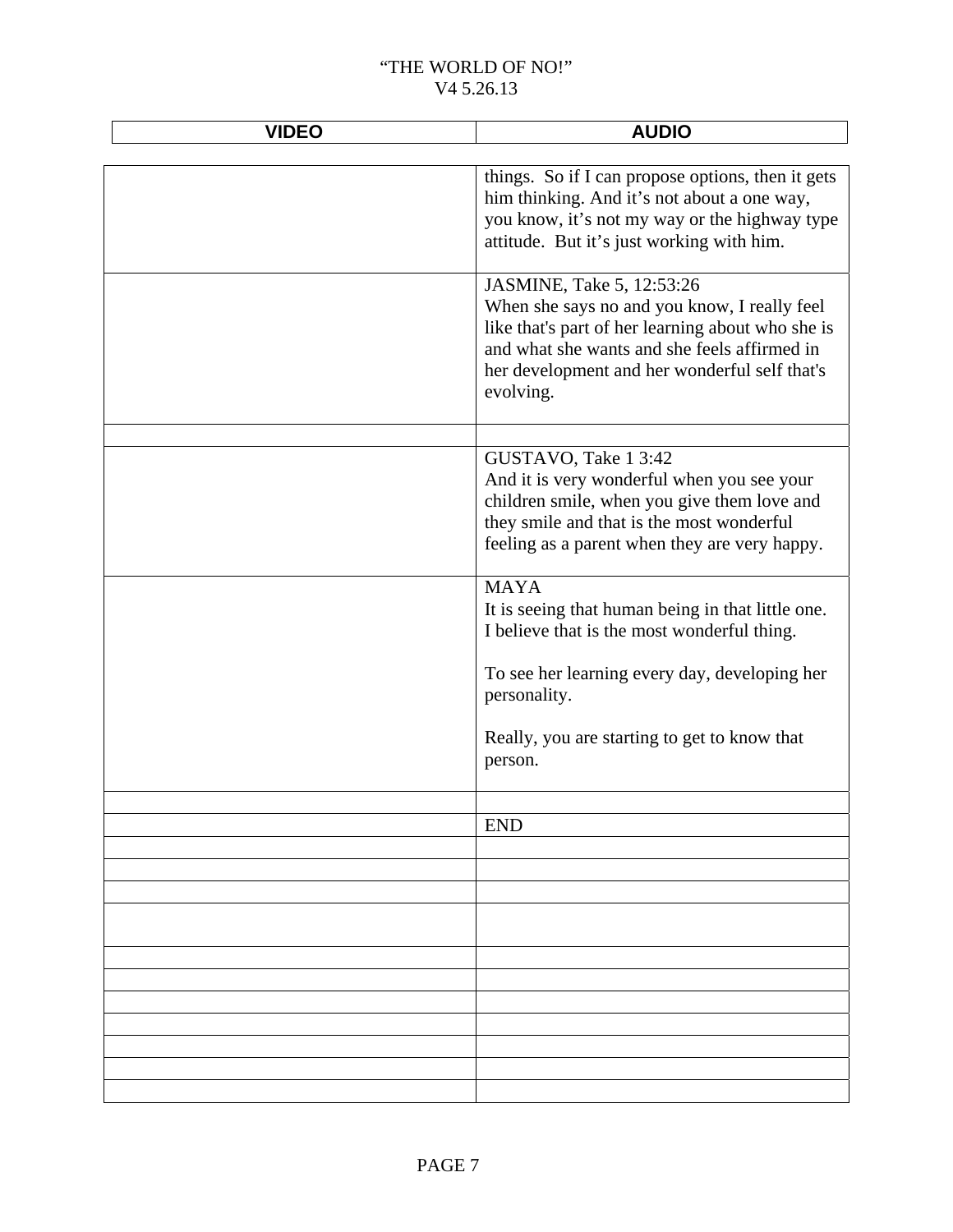| <b>VIDEO</b> | <b>AUDIO</b>                                                                                                                                                                                                                                 |
|--------------|----------------------------------------------------------------------------------------------------------------------------------------------------------------------------------------------------------------------------------------------|
|              |                                                                                                                                                                                                                                              |
|              | things. So if I can propose options, then it gets<br>him thinking. And it's not about a one way,<br>you know, it's not my way or the highway type<br>attitude. But it's just working with him.                                               |
|              | JASMINE, Take 5, 12:53:26<br>When she says no and you know, I really feel<br>like that's part of her learning about who she is<br>and what she wants and she feels affirmed in<br>her development and her wonderful self that's<br>evolving. |
|              | GUSTAVO, Take 1 3:42<br>And it is very wonderful when you see your<br>children smile, when you give them love and<br>they smile and that is the most wonderful<br>feeling as a parent when they are very happy.                              |
|              | <b>MAYA</b><br>It is seeing that human being in that little one.<br>I believe that is the most wonderful thing.                                                                                                                              |
|              | To see her learning every day, developing her<br>personality.                                                                                                                                                                                |
|              | Really, you are starting to get to know that<br>person.                                                                                                                                                                                      |
|              |                                                                                                                                                                                                                                              |
|              | <b>END</b>                                                                                                                                                                                                                                   |
|              |                                                                                                                                                                                                                                              |
|              |                                                                                                                                                                                                                                              |
|              |                                                                                                                                                                                                                                              |
|              |                                                                                                                                                                                                                                              |
|              |                                                                                                                                                                                                                                              |
|              |                                                                                                                                                                                                                                              |
|              |                                                                                                                                                                                                                                              |
|              |                                                                                                                                                                                                                                              |